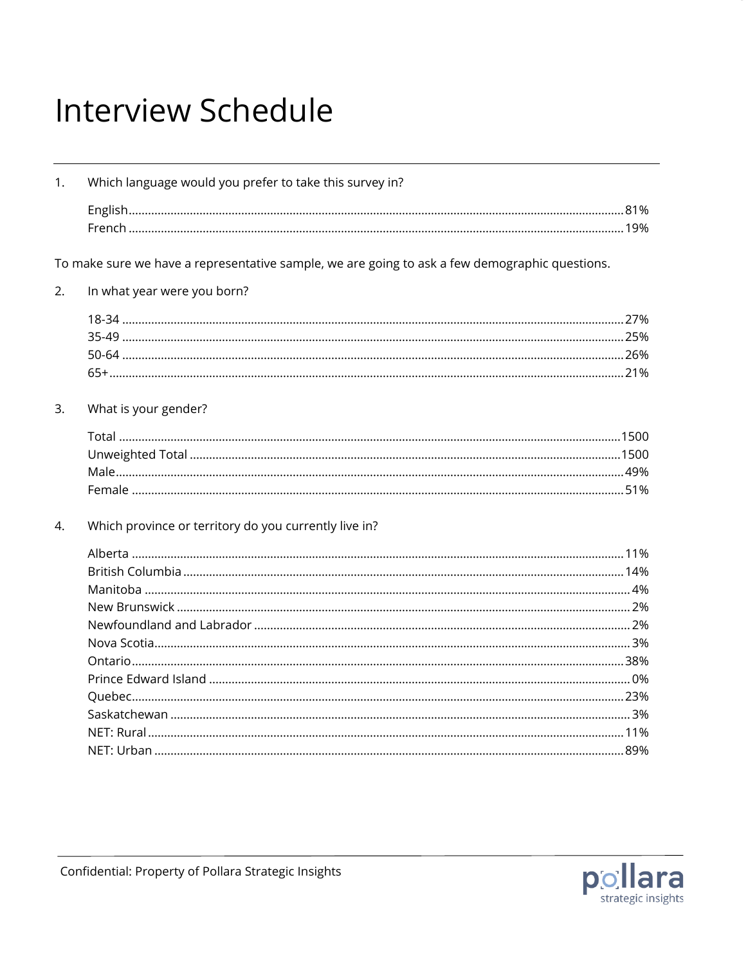## **Interview Schedule**

| 1. | Which language would you prefer to take this survey in?                                        |  |
|----|------------------------------------------------------------------------------------------------|--|
|    |                                                                                                |  |
|    |                                                                                                |  |
|    |                                                                                                |  |
|    | To make sure we have a representative sample, we are going to ask a few demographic questions. |  |
| 2. | In what year were you born?                                                                    |  |
|    |                                                                                                |  |
|    |                                                                                                |  |
|    |                                                                                                |  |
|    |                                                                                                |  |
|    |                                                                                                |  |
| 3. | What is your gender?                                                                           |  |
|    |                                                                                                |  |
|    |                                                                                                |  |
|    |                                                                                                |  |
|    |                                                                                                |  |
|    |                                                                                                |  |
| 4. | Which province or territory do you currently live in?                                          |  |
|    |                                                                                                |  |
|    |                                                                                                |  |
|    |                                                                                                |  |
|    |                                                                                                |  |
|    |                                                                                                |  |
|    |                                                                                                |  |
|    |                                                                                                |  |
|    |                                                                                                |  |
|    |                                                                                                |  |
|    |                                                                                                |  |
|    |                                                                                                |  |
|    |                                                                                                |  |

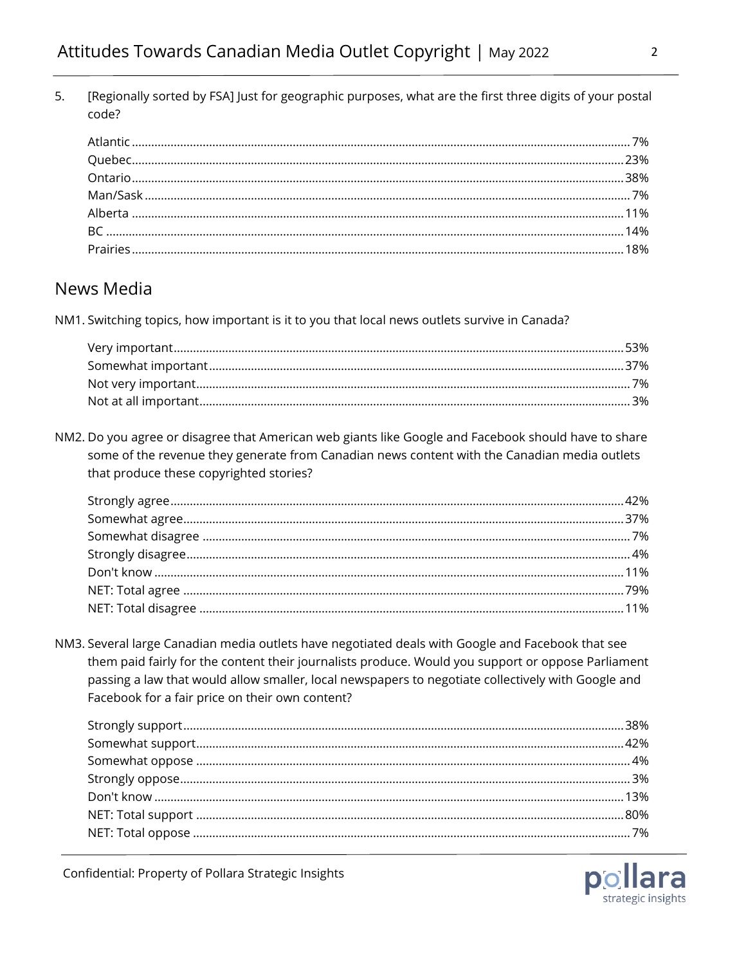5. [Regionally sorted by FSA] Just for geographic purposes, what are the first three digits of your postal code?

## News Media

NM1. Switching topics, how important is it to you that local news outlets survive in Canada?

NM2. Do you agree or disagree that American web giants like Google and Facebook should have to share some of the revenue they generate from Canadian news content with the Canadian media outlets that produce these copyrighted stories?

NM3. Several large Canadian media outlets have negotiated deals with Google and Facebook that see them paid fairly for the content their journalists produce. Would you support or oppose Parliament passing a law that would allow smaller, local newspapers to negotiate collectively with Google and Facebook for a fair price on their own content?

Confidential: Property of Pollara Strategic Insights

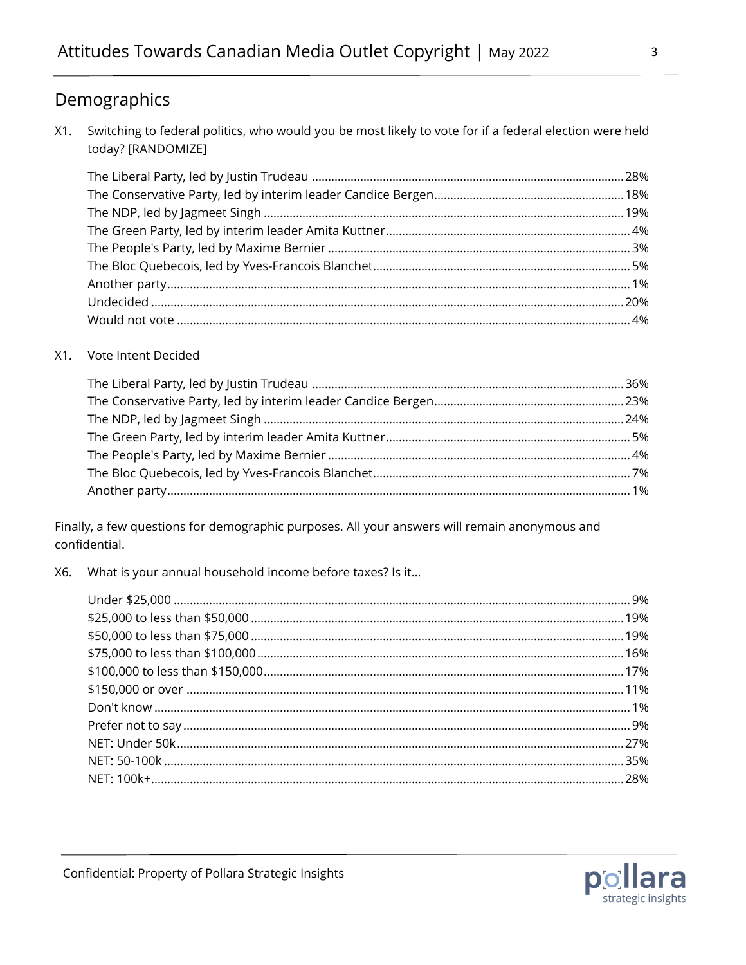## Demographics

Switching to federal politics, who would you be most likely to vote for if a federal election were held  $X1.$ today? [RANDOMIZE]

## X1. Vote Intent Decided

Finally, a few questions for demographic purposes. All your answers will remain anonymous and confidential.

What is your annual household income before taxes? Is it... X6.

 $\mathbf{3}$